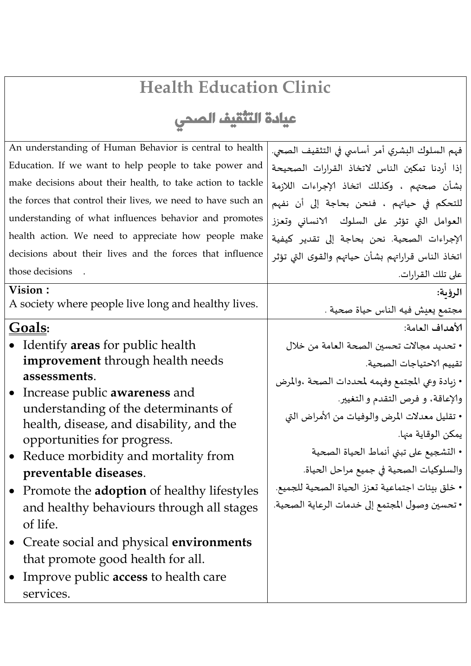## **Health Education Clinic**

## عيادة التثقيف الصحي

| An understanding of Human Behavior is central to health                         | فهم السلوك البشري أمر أساسي في التثقيف الصعي.     |
|---------------------------------------------------------------------------------|---------------------------------------------------|
| Education. If we want to help people to take power and                          | إذا أردنا تمكين الناس لاتخاذ القرارات الصحيحة     |
| make decisions about their health, to take action to tackle                     | بشأن صحتهم ، وكذلك اتخاذ الإجراءات اللازمة        |
| the forces that control their lives, we need to have such an                    | للتحكم في حياتهم ، فنحن بحاجة إلى أن نفهم         |
| understanding of what influences behavior and promotes                          | العوامل التي تؤثر على السلوك الانساني وتعزز       |
| health action. We need to appreciate how people make                            | الإجراءات الصحية. نحن بحاجة إلى تقدير كيفية       |
| decisions about their lives and the forces that influence                       | اتخاذ الناس قراراتهم بشأن حياتهم والقوى التى تؤثر |
| those decisions                                                                 | على تلك القرارات.                                 |
| Vision:                                                                         | الرؤىة:                                           |
| A society where people live long and healthy lives.                             | مجتمع يعيش فيه الناس حياة صحية .                  |
| Goals:                                                                          | الأهداف العامة:                                   |
| • Identify areas for public health                                              | • تحديد مجالات تحسين الصحة العامة من خلال         |
| improvement through health needs                                                | تقييم الاحتياجات الصحية.                          |
| assessments.                                                                    | • زبادة وعي المجتمع وفهمه لمحددات الصحة ،والمرض   |
| • Increase public <b>awareness</b> and                                          | والإعاقة، و فرص التقدم و التغيير.                 |
| understanding of the determinants of                                            | • تقليل معدلات المرض والوفيات من الأمراض التي     |
| health, disease, and disability, and the                                        | يمكن الوقاية منها.                                |
| opportunities for progress.<br>Reduce morbidity and mortality from<br>$\bullet$ | • التشجيع على تبني أنماط الحياة الصحية            |
| preventable diseases.                                                           | والسلوكيات الصحية في جميع مراحل الحياة.           |
| • Promote the <b>adoption</b> of healthy lifestyles                             | • خلق بيئات اجتماعية تعزز الحياة الصحية للجميع.   |
| and healthy behaviours through all stages                                       | • تحسين وصول المجتمع إلى خدمات الرعاية الصحية.    |
| of life.                                                                        |                                                   |
| • Create social and physical <b>environments</b>                                |                                                   |
| that promote good health for all.                                               |                                                   |
| Improve public <b>access</b> to health care<br>$\bullet$                        |                                                   |
| services.                                                                       |                                                   |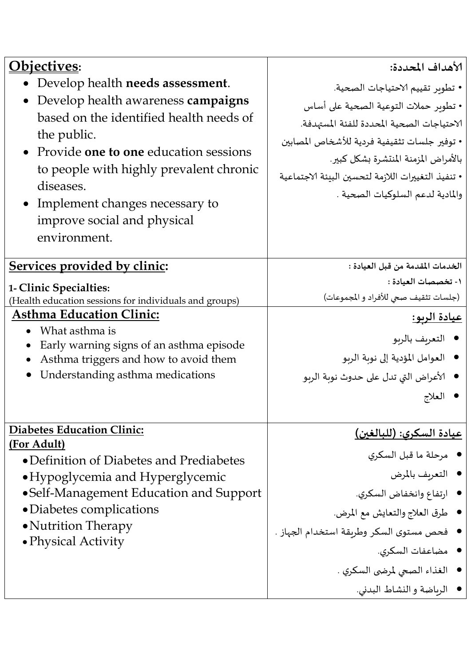| <u> Objectives:</u>                                                               | الأهداف المحددة:                                   |
|-----------------------------------------------------------------------------------|----------------------------------------------------|
| • Develop health needs assessment.                                                | • تطوير تقييم الاحتياجات الصحية.                   |
| • Develop health awareness campaigns                                              | • تطوير حملات التوعية الصحية على أساس              |
| based on the identified health needs of                                           | الاحتياجات الصحية المحددة للفئة المستهدفة.         |
| the public.                                                                       | • توفير جلسات تثقيفية فردية للأشخاص المصابين       |
| • Provide one to one education sessions                                           |                                                    |
| to people with highly prevalent chronic                                           | بالأمراض المزمنة المنتشرة بشكل كبير.               |
| diseases.                                                                         | • تنفيذ التغييرات اللازمة لتحسين البيئة الاجتماعية |
| • Implement changes necessary to                                                  | والمادية لدعم السلوكيات الصحية .                   |
| improve social and physical                                                       |                                                    |
| environment.                                                                      |                                                    |
|                                                                                   |                                                    |
| Services provided by clinic:                                                      | الخدمات المقدمة من قبل العيادة :                   |
| 1- Clinic Specialties:                                                            | ١- تخصصات العيادة :                                |
| (Health education sessions for individuals and groups)                            | (جلسات تثقيف صعي للأفراد و المجموعات)              |
| <b>Asthma Education Clinic:</b>                                                   | <u>عيادة الريو:</u>                                |
| What asthma is                                                                    | ● التعريف بالربو                                   |
| Early warning signs of an asthma episode<br>Asthma triggers and how to avoid them | ● العوامل المؤدية إلى نوبة الربو                   |
| Understanding asthma medications                                                  | ●   الأعراض التي تدل على حدوث نوبة الربو           |
|                                                                                   |                                                    |
|                                                                                   | العلاج                                             |
| <b>Diabetes Education Clinic:</b>                                                 |                                                    |
| (For Adult)                                                                       | <u>عيادة السكرى: (للبالغين)</u>                    |
| • Definition of Diabetes and Prediabetes                                          | ● مرحلة ما قبل السكري                              |
| • Hypoglycemia and Hyperglycemic                                                  | • التعريف بالمرض                                   |
| • Self-Management Education and Support                                           | ● ارتفاع وانخفاض السكري.                           |
| • Diabetes complications                                                          | ● طرق العلاج والتعايش مع المرض.                    |
| • Nutrition Therapy                                                               | فحص مستوى السكر وطريقة استخدام الجهاز .            |
| • Physical Activity                                                               |                                                    |
|                                                                                   | ● مضاعفات السكري.                                  |
|                                                                                   | ● الغذاء الصعي لمرضى السكري .                      |
|                                                                                   | ● الرباضة والنشاط البدني.                          |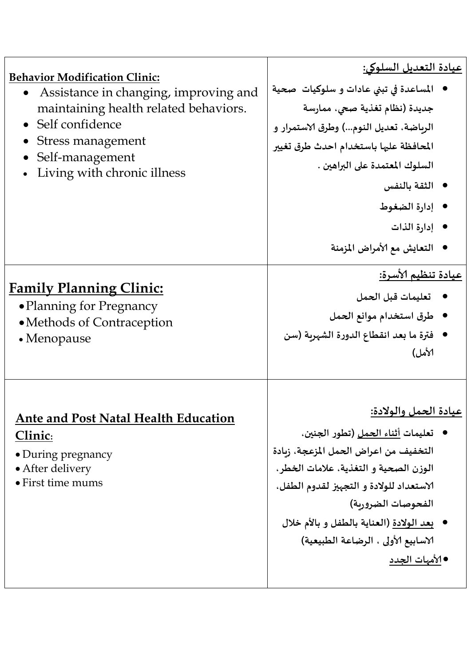| <b>Behavior Modification Clinic:</b><br>Assistance in changing, improving and<br>maintaining health related behaviors.<br>• Self confidence<br>Stress management<br>Self-management<br>Living with chronic illness | <u>عيادة التعديل السلوكي:</u><br>المساعدة في تبني عادات و سلوكيات  صحية<br>جديدة (نظام تغذية صحي، ممارسة<br>الرباضة، تعديل النوم) وطرق الاستمرار و<br>المحافظة عليها باستخدام احدث طرق تغيير<br>السلوك المعتمدة على البراهين .<br>● الثقة بالنفس<br>● إدارة الضغوط<br>● إدارة الذات<br>التعايش مع الأمراض المزمنة                 |
|--------------------------------------------------------------------------------------------------------------------------------------------------------------------------------------------------------------------|-----------------------------------------------------------------------------------------------------------------------------------------------------------------------------------------------------------------------------------------------------------------------------------------------------------------------------------|
| <b>Family Planning Clinic:</b><br>• Planning for Pregnancy<br>• Methods of Contraception<br>$\bullet$ Menopause                                                                                                    | <u>عيادة تنظيم الأسرة:</u><br>تعليمات قبل الحمل<br>● طرق استخدام موانع الحمل<br>فترة ما بعد انقطاع الدورة الشهربة (سن<br>الأمل)                                                                                                                                                                                                   |
| <b>Ante and Post Natal Health Education</b><br>Clinic:<br>• During pregnancy<br>• After delivery<br>• First time mums                                                                                              | عيادة الحمل والولادة:<br>●   تعليمات <u>أثناء الحمل</u> (تطور الجنين،<br>التخفيف من اعراض الحمل المزعجة، زبادة<br>الوزن الصحية و التغذية، علامات الخطر،<br>الاستعداد للولادة و التجهيز لقدوم الطفل،<br>الفحوصات الضروربة)<br>● بعد الولادة (العناية بالطفل و بالأم خلال<br>الاسابيع الأولى ، الرضاعة الطبيعية)<br>● الأمهات الجدد |